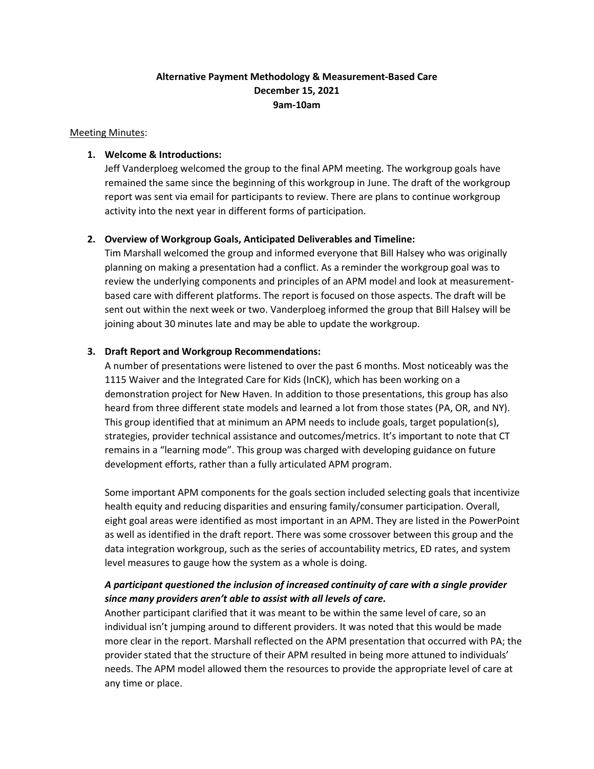## **Alternative Payment Methodology & Measurement-Based Care December 15, 2021 9am-10am**

Meeting Minutes:

#### **1. Welcome & Introductions:**

Jeff Vanderploeg welcomed the group to the final APM meeting. The workgroup goals have remained the same since the beginning of this workgroup in June. The draft of the workgroup report was sent via email for participants to review. There are plans to continue workgroup activity into the next year in different forms of participation.

### **2. Overview of Workgroup Goals, Anticipated Deliverables and Timeline:**

Tim Marshall welcomed the group and informed everyone that Bill Halsey who was originally planning on making a presentation had a conflict. As a reminder the workgroup goal was to review the underlying components and principles of an APM model and look at measurementbased care with different platforms. The report is focused on those aspects. The draft will be sent out within the next week or two. Vanderploeg informed the group that Bill Halsey will be joining about 30 minutes late and may be able to update the workgroup.

#### **3. Draft Report and Workgroup Recommendations:**

A number of presentations were listened to over the past 6 months. Most noticeably was the 1115 Waiver and the Integrated Care for Kids (InCK), which has been working on a demonstration project for New Haven. In addition to those presentations, this group has also heard from three different state models and learned a lot from those states (PA, OR, and NY). This group identified that at minimum an APM needs to include goals, target population(s), strategies, provider technical assistance and outcomes/metrics. It's important to note that CT remains in a "learning mode". This group was charged with developing guidance on future development efforts, rather than a fully articulated APM program.

Some important APM components for the goals section included selecting goals that incentivize health equity and reducing disparities and ensuring family/consumer participation. Overall, eight goal areas were identified as most important in an APM. They are listed in the PowerPoint as well as identified in the draft report. There was some crossover between this group and the data integration workgroup, such as the series of accountability metrics, ED rates, and system level measures to gauge how the system as a whole is doing.

## *A participant questioned the inclusion of increased continuity of care with a single provider since many providers aren't able to assist with all levels of care.*

Another participant clarified that it was meant to be within the same level of care, so an individual isn't jumping around to different providers. It was noted that this would be made more clear in the report. Marshall reflected on the APM presentation that occurred with PA; the provider stated that the structure of their APM resulted in being more attuned to individuals' needs. The APM model allowed them the resources to provide the appropriate level of care at any time or place.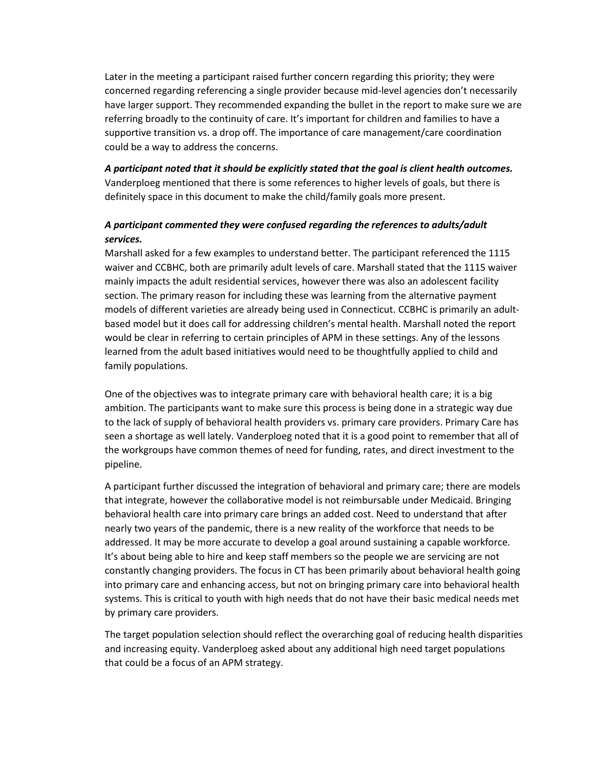Later in the meeting a participant raised further concern regarding this priority; they were concerned regarding referencing a single provider because mid-level agencies don't necessarily have larger support. They recommended expanding the bullet in the report to make sure we are referring broadly to the continuity of care. It's important for children and families to have a supportive transition vs. a drop off. The importance of care management/care coordination could be a way to address the concerns.

*A participant noted that it should be explicitly stated that the goal is client health outcomes.* Vanderploeg mentioned that there is some references to higher levels of goals, but there is definitely space in this document to make the child/family goals more present.

## *A participant commented they were confused regarding the references to adults/adult services.*

Marshall asked for a few examples to understand better. The participant referenced the 1115 waiver and CCBHC, both are primarily adult levels of care. Marshall stated that the 1115 waiver mainly impacts the adult residential services, however there was also an adolescent facility section. The primary reason for including these was learning from the alternative payment models of different varieties are already being used in Connecticut. CCBHC is primarily an adultbased model but it does call for addressing children's mental health. Marshall noted the report would be clear in referring to certain principles of APM in these settings. Any of the lessons learned from the adult based initiatives would need to be thoughtfully applied to child and family populations.

One of the objectives was to integrate primary care with behavioral health care; it is a big ambition. The participants want to make sure this process is being done in a strategic way due to the lack of supply of behavioral health providers vs. primary care providers. Primary Care has seen a shortage as well lately. Vanderploeg noted that it is a good point to remember that all of the workgroups have common themes of need for funding, rates, and direct investment to the pipeline.

A participant further discussed the integration of behavioral and primary care; there are models that integrate, however the collaborative model is not reimbursable under Medicaid. Bringing behavioral health care into primary care brings an added cost. Need to understand that after nearly two years of the pandemic, there is a new reality of the workforce that needs to be addressed. It may be more accurate to develop a goal around sustaining a capable workforce. It's about being able to hire and keep staff members so the people we are servicing are not constantly changing providers. The focus in CT has been primarily about behavioral health going into primary care and enhancing access, but not on bringing primary care into behavioral health systems. This is critical to youth with high needs that do not have their basic medical needs met by primary care providers.

The target population selection should reflect the overarching goal of reducing health disparities and increasing equity. Vanderploeg asked about any additional high need target populations that could be a focus of an APM strategy.